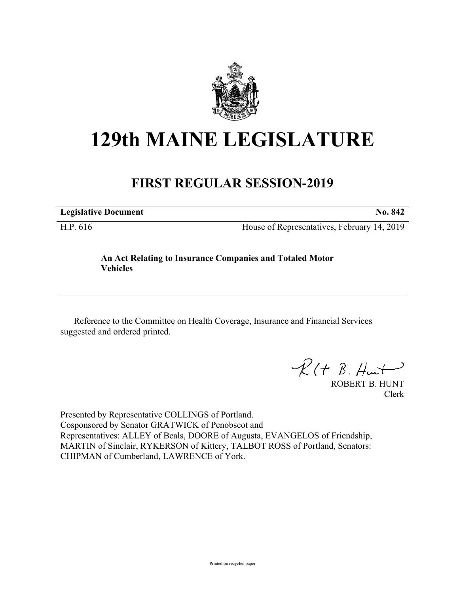

# **129th MAINE LEGISLATURE**

## **FIRST REGULAR SESSION-2019**

**Legislative Document No. 842**

H.P. 616 House of Representatives, February 14, 2019

### **An Act Relating to Insurance Companies and Totaled Motor Vehicles**

Reference to the Committee on Health Coverage, Insurance and Financial Services suggested and ordered printed.

 $R(H B. H<sub>un</sub>+)$ 

ROBERT B. HUNT Clerk

Presented by Representative COLLINGS of Portland. Cosponsored by Senator GRATWICK of Penobscot and Representatives: ALLEY of Beals, DOORE of Augusta, EVANGELOS of Friendship, MARTIN of Sinclair, RYKERSON of Kittery, TALBOT ROSS of Portland, Senators: CHIPMAN of Cumberland, LAWRENCE of York.